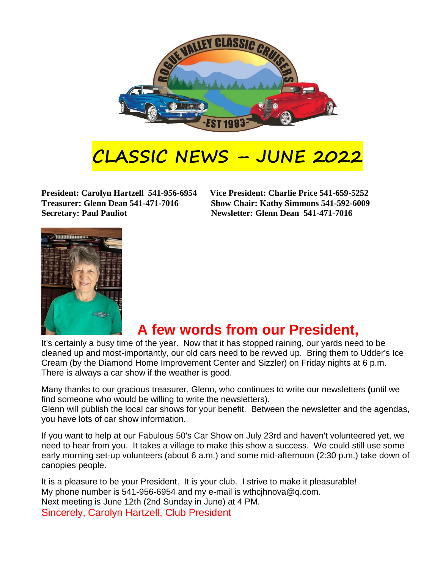

## **CLASSIC NEWS – JUNE 2022**

**Secretary: Paul Pauliot Newsletter: Glenn Dean 541-471-7016** 

**President: Carolyn Hartzell 541-956-6954 Vice President: Charlie Price 541-659-5252 Treasurer: Glenn Dean 541-471-7016 Show Chair: Kathy Simmons 541-592-6009**



## **A few words from our President,**

It's certainly a busy time of the year. Now that it has stopped raining, our yards need to be cleaned up and most-importantly, our old cars need to be revved up. Bring them to Udder's Ice Cream (by the Diamond Home Improvement Center and Sizzler) on Friday nights at 6 p.m. There is always a car show if the weather is good.

Many thanks to our gracious treasurer, Glenn, who continues to write our newsletters **(**until we find someone who would be willing to write the newsletters).

Glenn will publish the local car shows for your benefit. Between the newsletter and the agendas, you have lots of car show information.

If you want to help at our Fabulous 50's Car Show on July 23rd and haven't volunteered yet, we need to hear from you. It takes a village to make this show a success. We could still use some early morning set-up volunteers (about 6 a.m.) and some mid-afternoon (2:30 p.m.) take down of canopies people.

It is a pleasure to be your President. It is your club. I strive to make it pleasurable! My phone number is 541-956-6954 and my e-mail is wthcjhnova@q.com. Next meeting is June 12th (2nd Sunday in June) at 4 PM. Sincerely, Carolyn Hartzell, Club President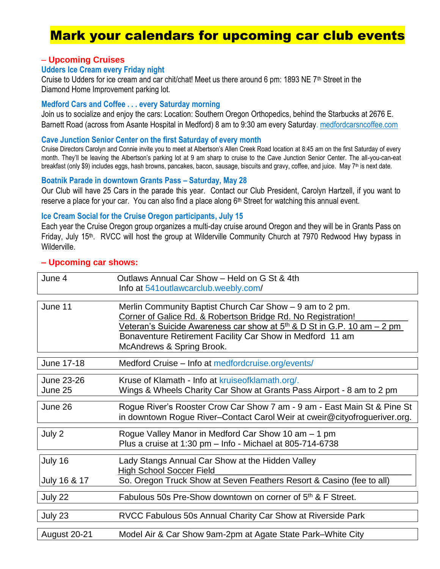## Mark your calendars for upcoming car club events

#### – **Upcoming Cruises**

#### **Udders Ice Cream every Friday night**

Cruise to Udders for ice cream and car chit/chat! Meet us there around 6 pm: 1893 NE 7<sup>th</sup> Street in the Diamond Home Improvement parking lot.

#### **Medford Cars and Coffee . . . every Saturday morning**

Join us to socialize and enjoy the cars: Location: Southern Oregon Orthopedics, behind the Starbucks at 2676 E. Barnett Road (across from Asante Hospital in Medford) 8 am to 9:30 am every Saturday. [medfordcarsncoffee.com](https://medfordcarsncoffee.com/)

#### **Cave Junction Senior Center on the first Saturday of every month**

Cruise Directors Carolyn and Connie invite you to meet at Albertson's Allen Creek Road location at 8:45 am on the first Saturday of every month. They'll be leaving the Albertson's parking lot at 9 am sharp to cruise to the Cave Junction Senior Center. The all-you-can-eat breakfast (only \$9) includes eggs, hash browns, pancakes, bacon, sausage, biscuits and gravy, coffee, and juice. May 7<sup>th</sup> is next date.

#### **Boatnik Parade in downtown Grants Pass – Saturday, May 28**

Our Club will have 25 Cars in the parade this year. Contact our Club President, Carolyn Hartzell, if you want to reserve a place for your car. You can also find a place along 6<sup>th</sup> Street for watching this annual event.

#### **Ice Cream Social for the Cruise Oregon participants, July 15**

Each year the Cruise Oregon group organizes a multi-day cruise around Oregon and they will be in Grants Pass on Friday, July 15<sup>th</sup>. RVCC will host the group at Wilderville Community Church at 7970 Redwood Hwy bypass in Wilderville.

| June 4                | Outlaws Annual Car Show - Held on G St & 4th<br>Info at 541 outlaw carclub. weebly.com/                                                                                                                                                                                                                   |
|-----------------------|-----------------------------------------------------------------------------------------------------------------------------------------------------------------------------------------------------------------------------------------------------------------------------------------------------------|
| June 11               | Merlin Community Baptist Church Car Show - 9 am to 2 pm.<br>Corner of Galice Rd. & Robertson Bridge Rd. No Registration!<br>Veteran's Suicide Awareness car show at 5 <sup>th</sup> & D St in G.P. 10 am – 2 pm<br>Bonaventure Retirement Facility Car Show in Medford 11 am<br>McAndrews & Spring Brook. |
| June 17-18            | Medford Cruise - Info at medfordcruise.org/events/                                                                                                                                                                                                                                                        |
| June 23-26<br>June 25 | Kruse of Klamath - Info at kruiseofklamath.org/.<br>Wings & Wheels Charity Car Show at Grants Pass Airport - 8 am to 2 pm                                                                                                                                                                                 |
| June 26               | Rogue River's Rooster Crow Car Show 7 am - 9 am - East Main St & Pine St<br>in downtown Rogue River-Contact Carol Weir at cweir@cityofrogueriver.org.                                                                                                                                                     |
| July 2                | Rogue Valley Manor in Medford Car Show 10 am - 1 pm<br>Plus a cruise at 1:30 pm - Info - Michael at 805-714-6738                                                                                                                                                                                          |
| July 16               | Lady Stangs Annual Car Show at the Hidden Valley<br><b>High School Soccer Field</b>                                                                                                                                                                                                                       |
| July 16 & 17          | So. Oregon Truck Show at Seven Feathers Resort & Casino (fee to all)                                                                                                                                                                                                                                      |
| July 22               | Fabulous 50s Pre-Show downtown on corner of 5 <sup>th</sup> & F Street.                                                                                                                                                                                                                                   |
| July 23               | RVCC Fabulous 50s Annual Charity Car Show at Riverside Park                                                                                                                                                                                                                                               |
| <b>August 20-21</b>   | Model Air & Car Show 9am-2pm at Agate State Park–White City                                                                                                                                                                                                                                               |

#### **– Upcoming car shows:**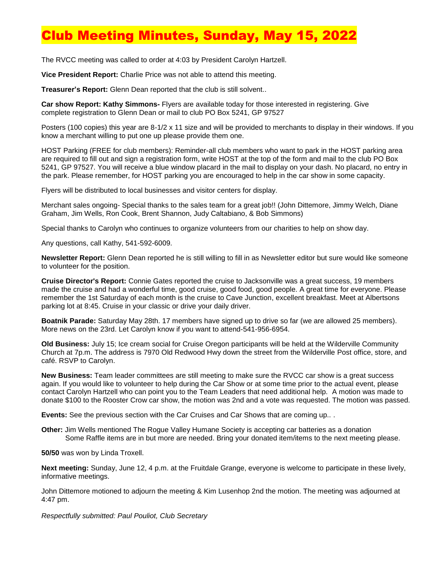## **Club Meeting Minutes, Sunday, May 15, 20**

The RVCC meeting was called to order at 4:03 by President Carolyn Hartzell.

**Vice President Report:** Charlie Price was not able to attend this meeting.

**Treasurer's Report:** Glenn Dean reported that the club is still solvent..

**Car show Report: Kathy Simmons-** Flyers are available today for those interested in registering. Give complete registration to Glenn Dean or mail to club PO Box 5241, GP 97527

Posters (100 copies) this year are 8-1/2 x 11 size and will be provided to merchants to display in their windows. If you know a merchant willing to put one up please provide them one.

HOST Parking (FREE for club members): Reminder-all club members who want to park in the HOST parking area are required to fill out and sign a registration form, write HOST at the top of the form and mail to the club PO Box 5241, GP 97527. You will receive a blue window placard in the mail to display on your dash. No placard, no entry in the park. Please remember, for HOST parking you are encouraged to help in the car show in some capacity.

Flyers will be distributed to local businesses and visitor centers for display.

Merchant sales ongoing- Special thanks to the sales team for a great job!! (John Dittemore, Jimmy Welch, Diane Graham, Jim Wells, Ron Cook, Brent Shannon, Judy Caltabiano, & Bob Simmons)

Special thanks to Carolyn who continues to organize volunteers from our charities to help on show day.

Any questions, call Kathy, 541-592-6009.

**Newsletter Report:** Glenn Dean reported he is still willing to fill in as Newsletter editor but sure would like someone to volunteer for the position.

**Cruise Director's Report:** Connie Gates reported the cruise to Jacksonville was a great success, 19 members made the cruise and had a wonderful time, good cruise, good food, good people. A great time for everyone. Please remember the 1st Saturday of each month is the cruise to Cave Junction, excellent breakfast. Meet at Albertsons parking lot at 8:45. Cruise in your classic or drive your daily driver.

**Boatnik Parade:** Saturday May 28th. 17 members have signed up to drive so far (we are allowed 25 members). More news on the 23rd. Let Carolyn know if you want to attend-541-956-6954.

**Old Business:** July 15; Ice cream social for Cruise Oregon participants will be held at the Wilderville Community Church at 7p.m. The address is 7970 Old Redwood Hwy down the street from the Wilderville Post office, store, and café. RSVP to Carolyn.

**New Business:** Team leader committees are still meeting to make sure the RVCC car show is a great success again. If you would like to volunteer to help during the Car Show or at some time prior to the actual event, please contact Carolyn Hartzell who can point you to the Team Leaders that need additional help. A motion was made to donate \$100 to the Rooster Crow car show, the motion was 2nd and a vote was requested. The motion was passed.

**Events:** See the previous section with the Car Cruises and Car Shows that are coming up.. .

**Other:** Jim Wells mentioned The Rogue Valley Humane Society is accepting car batteries as a donation Some Raffle items are in but more are needed. Bring your donated item/items to the next meeting please.

**50/50** was won by Linda Troxell.

**Next meeting:** Sunday, June 12, 4 p.m. at the Fruitdale Grange, everyone is welcome to participate in these lively, informative meetings.

John Dittemore motioned to adjourn the meeting & Kim Lusenhop 2nd the motion. The meeting was adjourned at 4:47 pm.

*Respectfully submitted: Paul Pouliot, Club Secretary*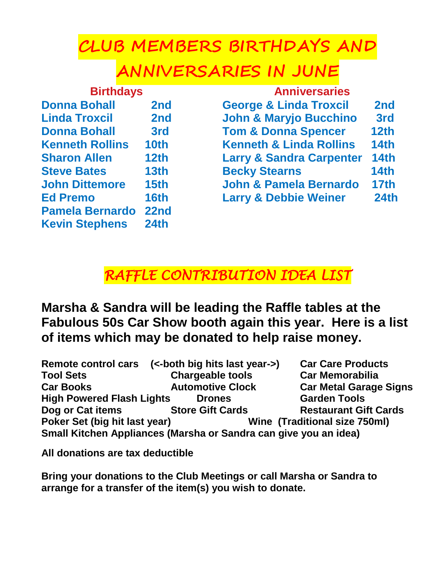## **CLUB MEMBERS BIRTHDAYS AND**

## **ANNIVERSARIES IN JUNE**

| <b>Birthdays</b>       |                  | <b>Anniversaries</b>                |                 |  |
|------------------------|------------------|-------------------------------------|-----------------|--|
| <b>Donna Bohall</b>    | 2nd              | <b>George &amp; Linda Troxcil</b>   | 2 <sub>nd</sub> |  |
| <b>Linda Troxcil</b>   | 2nd              | <b>John &amp; Maryjo Bucchino</b>   | 3rd             |  |
| <b>Donna Bohall</b>    | 3rd              | <b>Tom &amp; Donna Spencer</b>      | 12th            |  |
| <b>Kenneth Rollins</b> | 10 <sub>th</sub> | <b>Kenneth &amp; Linda Rollins</b>  | <b>14th</b>     |  |
| <b>Sharon Allen</b>    | 12 <sub>th</sub> | <b>Larry &amp; Sandra Carpenter</b> | <b>14th</b>     |  |
| <b>Steve Bates</b>     | 13 <sub>th</sub> | <b>Becky Stearns</b>                | <b>14th</b>     |  |
| <b>John Dittemore</b>  | 15 <sub>th</sub> | <b>John &amp; Pamela Bernardo</b>   | <b>17th</b>     |  |
| <b>Ed Premo</b>        | <b>16th</b>      | <b>Larry &amp; Debbie Weiner</b>    | <b>24th</b>     |  |
| <b>Pamela Bernardo</b> | 22nd             |                                     |                 |  |
| <b>Kevin Stephens</b>  | 24 <sub>th</sub> |                                     |                 |  |

## *RAFFLE CONTRIBUTION IDEA LIST*

**Marsha & Sandra will be leading the Raffle tables at the Fabulous 50s Car Show booth again this year. Here is a list of items which may be donated to help raise money.**

|                                                                  | Remote control cars (<-both big hits last year->) | <b>Car Care Products</b>      |  |  |
|------------------------------------------------------------------|---------------------------------------------------|-------------------------------|--|--|
| <b>Tool Sets</b>                                                 | <b>Chargeable tools</b>                           | <b>Car Memorabilia</b>        |  |  |
| <b>Car Books</b>                                                 | <b>Automotive Clock</b>                           | <b>Car Metal Garage Signs</b> |  |  |
| <b>High Powered Flash Lights</b>                                 | <b>Drones</b>                                     | <b>Garden Tools</b>           |  |  |
| Dog or Cat items                                                 | <b>Store Gift Cards</b>                           | <b>Restaurant Gift Cards</b>  |  |  |
| Poker Set (big hit last year)                                    |                                                   | Wine (Traditional size 750ml) |  |  |
| Small Kitchen Appliances (Marsha or Sandra can give you an idea) |                                                   |                               |  |  |

**All donations are tax deductible** 

**Bring your donations to the Club Meetings or call Marsha or Sandra to arrange for a transfer of the item(s) you wish to donate.**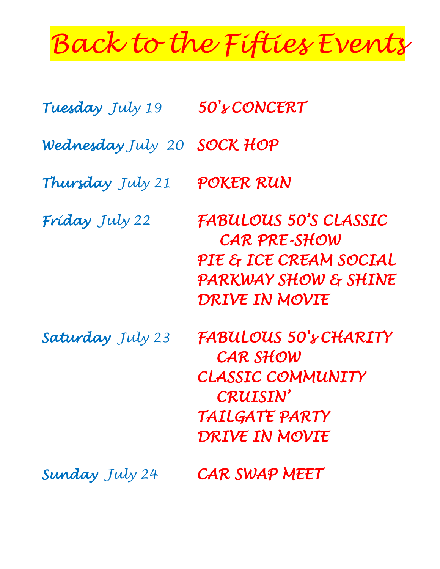# *Back to the Fifties Events*

| Tuesday July 19   | 50's CONCERT                                                                                                                |  |
|-------------------|-----------------------------------------------------------------------------------------------------------------------------|--|
| Wednesday July 20 | <b>SOCK HOP</b>                                                                                                             |  |
| Thursday July 21  | POKER RUN                                                                                                                   |  |
| Friday July 22    | <b>FABULOUS 50'S CLASSIC</b><br><b>CAR PRE-SHOW</b><br>PIE & ICE CREAM SOCIAL<br>PARKWAY SHOW & SHINE<br>DRIVE IN MOVIE     |  |
| Saturday July 23  | <b>FABULOUS 50's CHARITY</b><br>CAR SHOW<br><b>CLASSIC COMMUNITY</b><br><b>CRUISIN'</b><br>TAILGATE PARTY<br>DRIVE IN MOVIE |  |
| Sunday July 24    | CAR SWAP MEET                                                                                                               |  |